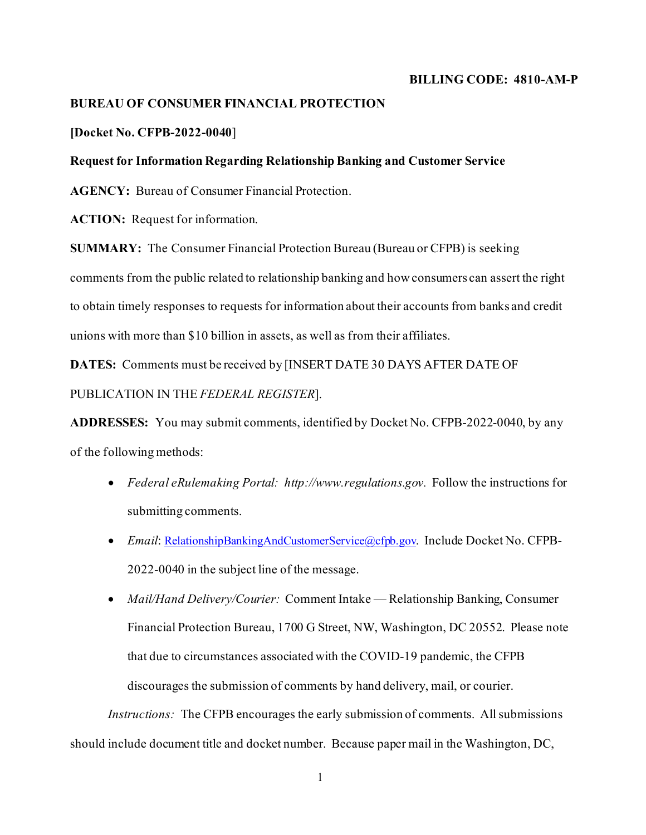### **BILLING CODE: 4810-AM-P**

# **BUREAU OF CONSUMER FINANCIAL PROTECTION**

## **[Docket No. CFPB-2022-0040**]

## **Request for Information Regarding Relationship Banking and Customer Service**

 **AGENCY:** Bureau of Consumer Financial Protection.

 **ACTION:** Request for information.

**SUMMARY:** The Consumer Financial Protection Bureau (Bureau or CFPB) is seeking comments from the public related to relationship banking and how consumers can assert the right to obtain timely responses to requests for information about their accounts from banks and credit unions with more than \$10 billion in assets, as well as from their affiliates.

**DATES:** Comments must be received by [INSERT DATE 30 DAYS AFTER DATE OF PUBLICATION IN THE *FEDERAL REGISTER*].

 of the following methods: **ADDRESSES:** You may submit comments, identified by Docket No. CFPB-2022-0040, by any

- Federal eRulemaking Portal: [http://www.regulations.gov.](http://www.regulations.gov/) Follow the instructions for submitting comments.
- 2022-0040 in the subject line of the message. • *Email*[: RelationshipBankingAndCustomerService@cfpb.gov](mailto:RelationshipBankingAndCustomerService@cfpb.gov). Include Docket No. CFPB-
- discourages the submission of comments by hand delivery, mail, or courier. • *Mail/Hand Delivery/Courier:* Comment Intake — Relationship Banking, Consumer Financial Protection Bureau, 1700 G Street, NW, Washington, DC 20552. Please note that due to circumstances associated with the COVID-19 pandemic, the CFPB

 *Instructions:* The CFPB encourages the early submission of comments. All submissions should include document title and docket number. Because paper mail in the Washington, DC,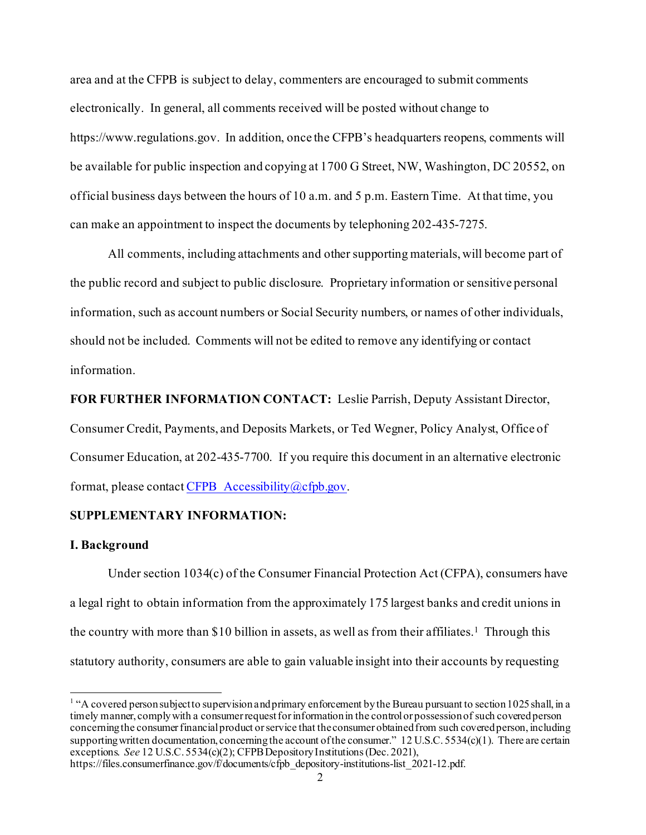electronically. In general, all comments received will be posted without change to area and at the CFPB is subject to delay, commenters are encouraged to submit comments <https://www.regulations.gov>. In addition, once the CFPB's headquarters reopens, comments will be available for public inspection and copying at 1700 G Street, NW, Washington, DC 20552, on official business days between the hours of 10 a.m. and 5 p.m. Eastern Time. At that time, you can make an appointment to inspect the documents by telephoning 202-435-7275.

 information. All comments, including attachments and other supporting materials, will become part of the public record and subject to public disclosure. Proprietary information or sensitive personal information, such as account numbers or Social Security numbers, or names of other individuals, should not be included. Comments will not be edited to remove any identifying or contact

**FOR FURTHER INFORMATION CONTACT:** Leslie Parrish, Deputy Assistant Director, Consumer Credit, Payments, and Deposits Markets, or Ted Wegner, Policy Analyst, Office of Consumer Education, at 202-435-7700. If you require this document in an alternative electronic format, please contac[t CFPB\\_Accessibility@cfpb.gov](mailto:CFPB_Accessibility@cfpb.gov).

## **SUPPLEMENTARY INFORMATION:**

## **I. Background**

the country with more than \$10 billion in assets, as well as from their affiliates.<sup>1</sup> Through this statutory authority, consumers are able to gain valuable insight into their accounts by requesting Under section 1034(c) of the Consumer Financial Protection Act (CFPA), consumers have a legal right to obtain information from the approximately 175 largest banks and credit unions in

<span id="page-1-0"></span> $1$  "A covered person subject to supervision and primary enforcement by the Bureau pursuant to section 1025 shall, in a concerning the consumer financial product or service that the consumer obtainedfrom such covered person, including supporting written documentation, concerning the account of the consumer." 12 U.S.C. 5534(c)(1). There are certain exceptions. *See* 12 U.S.C. 5534(c)(2); CFPB Depository Institutions(Dec. 2021), timely manner, comply with a consumer request for information in the control or possession of such covered person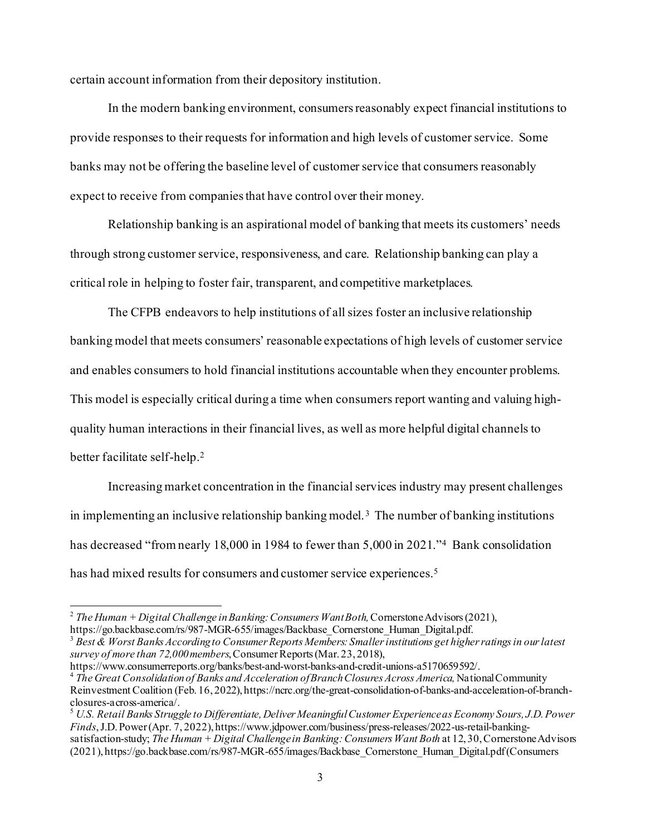certain account information from their depository institution.

In the modern banking environment, consumers reasonably expect financial institutions to provide responses to their requests for information and high levels of customer service. Some banks may not be offering the baseline level of customer service that consumers reasonably expect to receive from companies that have control over their money.

Relationship banking is an aspirational model of banking that meets its customers' needs through strong customer service, responsiveness, and care. Relationship banking can play a critical role in helping to foster fair, transparent, and competitive marketplaces.

 This model is especially critical during a time when consumers report wanting and valuing high- better facilitate self-help. [2](#page-2-0)  The CFPB endeavors to help institutions of all sizes foster an inclusive relationship banking model that meets consumers' reasonable expectations of high levels of customer service and enables consumers to hold financial institutions accountable when they encounter problems. quality human interactions in their financial lives, as well as more helpful digital channels to

in implementing an inclusive relationship banking model.<sup>[3](#page-2-1)</sup> The number of banking institutions has decreased "from nearly 18,000 in 198[4](#page-2-2) to fewer than 5,000 in 2021."<sup>4</sup> Bank consolidation Increasing market concentration in the financial services industry may present challenges has had mixed results for consumers and customer service experiences. [5](#page-2-3)

<span id="page-2-0"></span><sup>&</sup>lt;sup>2</sup> The Human + Digital Challenge in Banking: Consumers Want Both, Cornerstone Advisors (2021),

<span id="page-2-1"></span>[https://go.backbase.com/rs/987-MGR-655/images/Backbase\\_Cornerstone\\_Human\\_Digital.pdf.](https://go.backbase.com/rs/987-MGR-655/images/Backbase_Cornerstone_Human_Digital.pdf) [3](https://go.backbase.com/rs/987-MGR-655/images/Backbase_Cornerstone_Human_Digital.pdf) *Best & Worst Banks According to Consumer Reports Members: Smaller institutions get higher ratings in our latest survey of more than 72,000 members*, Consumer Reports (Mar. 23, 2018),

<span id="page-2-2"></span><sup>&</sup>lt;sup>4</sup> The Great Consolidation of Banks and Acceleration of Branch Closures Across America, National Community Reinvestment Coalition (Feb. 16, 2022), [https://ncrc.org/the-great-consolidation-of-banks-and-acceleration-of-branch](https://2022),https://ncrc.org/the-great-consolidation-of-banks-and-acceleration-of-branch)-

<span id="page-2-3"></span> *Finds*, J.D. Power (Apr. 7, 2022), [https://www.jdpower.com/business/press-releases/2022-us-retail-banking](https://2022),https://www.jdpower.com/business/press-releases/2022-us-retail-banking)-<sup>5</sup> U.S. Retail Banks Struggle to Differentiate, Deliver Meaningful Customer Experience as Economy Sours, J.D. Power satisfaction-study; *The Human + Digital Challenge in Banking: Consumers Want Both* at 12,30, Cornerstone Advisors (2021), https://go.backbase.com/rs/987-MGR-655/images/Backbase\_Cornerstone\_Human\_Digital.pdf(Consumers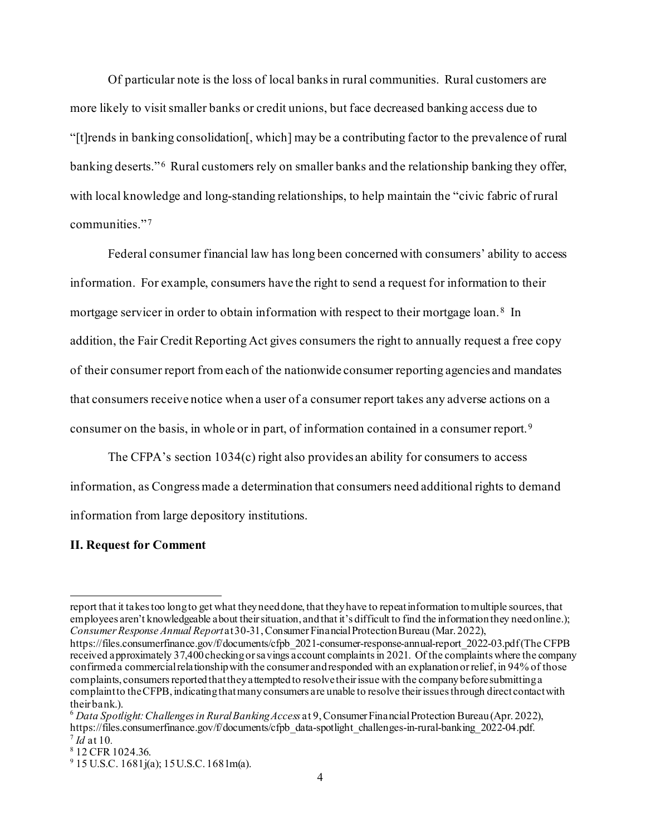Of particular note is the loss of local banks in rural communities. Rural customers are banking deserts."<sup>6</sup> Rural customers rely on smaller banks and the relationship banking they offer, communities."[7](#page-3-1) more likely to visit smaller banks or credit unions, but face decreased banking access due to "[t]rends in banking consolidation[, which] may be a contributing factor to the prevalence of rural with local knowledge and long-standing relationships, to help maintain the "civic fabric of rural

mortgage servicer in order to obtain information with respect to their mortgage loan.<sup>[8](#page-3-2)</sup> In that consumers receive notice when a user of a consumer report takes any adverse actions on a consumer on the basis, in whole or in part, of information contained in a consumer report.[9](#page-3-3)  Federal consumer financial law has long been concerned with consumers' ability to access information. For example, consumers have the right to send a request for information to their addition, the Fair Credit Reporting Act gives consumers the right to annually request a free copy of their consumer report from each of the nationwide consumer reporting agencies and mandates

The CFPA's section 1034(c) right also provides an ability for consumers to access information, as Congress made a determination that consumers need additional rights to demand information from large depository institutions.

## **II. Request for Comment**

report that it takes too long to get what they need done, that they have to repeat information to multiple sources, that employees aren't knowledgeable about their situation, and that it's difficult to find the information they need online.); *Consumer Response Annual Report* at 30-31, Consumer Financial Protection Bureau (Mar. 2022),

 received approximately 37,400 checking or savings account complaints in 2021. Of the complaints where the company [https://files.consumerfinance.gov/f/documents/cfpb\\_2021-consumer-response-annual-report\\_2022-03.pdf\(The](https://files.consumerfinance.gov/f/documents/cfpb_2021-consumer-response-annual-report_2022-03.pdf(The) CFPB confirmed a commercial relationship with the consumer and responded with an explanation or relief, in 94% of those complaints, consumers reported that they attempted to resolve their issue with the company before submitting a complaint to the CFPB, indicating that many consumers are unable to resolve their issues through direct contact with

<span id="page-3-0"></span> $\frac{7}{4}$  d at 10. their bank.). 6 *Data Spotlight: Challenges in Rural Banking Access* at 9, Consumer Financial Protection Bureau (Apr. 2022), [https://files.consumerfinance.gov/f/documents/cfpb\\_data-spotlight\\_challenges-in-rural-banking\\_2022-04.pdf.](https://files.consumerfinance.gov/f/documents/cfpb_data-spotlight_challenges-in-rural-banking_2022-04.pdf)

<span id="page-3-2"></span><span id="page-3-1"></span><sup>&</sup>lt;sup>8</sup> 12 CFR 1024.36.

<span id="page-3-3"></span> $9$  15 U.S.C. 1681j(a); 15 U.S.C. 1681m(a).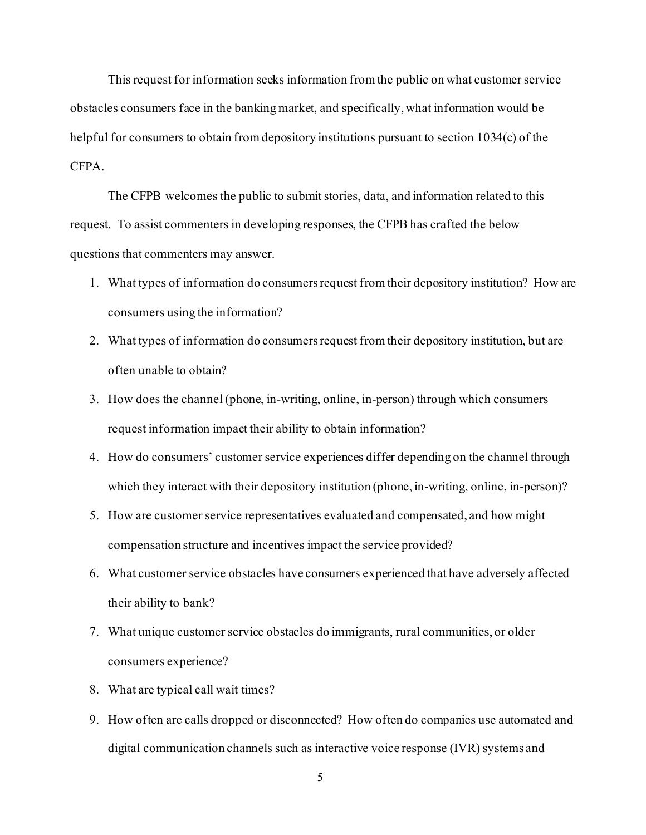This request for information seeks information from the public on what customer service obstacles consumers face in the banking market, and specifically, what information would be helpful for consumers to obtain from depository institutions pursuant to section 1034(c) of the CFPA.

The CFPB welcomes the public to submit stories, data, and information related to this request. To assist commenters in developing responses, the CFPB has crafted the below questions that commenters may answer.

- 1. What types of information do consumers request from their depository institution? How are consumers using the information?
- often unable to obtain? 2. What types of information do consumers request from their depository institution, but are
- 3. How does the channel (phone, in-writing, online, in-person) through which consumers request information impact their ability to obtain information?
- 4. How do consumers' customer service experiences differ depending on the channel through which they interact with their depository institution (phone, in-writing, online, in-person)?
- 5. How are customer service representatives evaluated and compensated, and how might compensation structure and incentives impact the service provided?
- 6. What customer service obstacles have consumers experienced that have adversely affected their ability to bank?
- 7. What unique customer service obstacles do immigrants, rural communities, or older consumers experience?
- 8. What are typical call wait times?
- 9. How often are calls dropped or disconnected? How often do companies use automated and digital communication channels such as interactive voice response (IVR) systems and